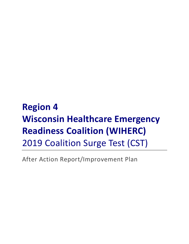**Region 4 Wisconsin Healthcare Emergency Readiness Coalition (WIHERC)** 2019 Coalition Surge Test (CST)

After Action Report/Improvement Plan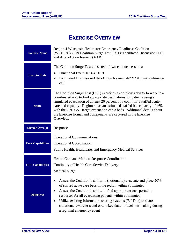# **EXERCISE OVERVIEW**

| <b>Exercise Name</b>     | Region 4 Wisconsin Healthcare Emergency Readiness Coalition<br>(WIHERC) 2019 Coalition Surge Test (CST): Facilitated Discussion (FD)<br>and After-Action Review (AAR)                                                                                                                                                                                                                                                                                                       |  |  |
|--------------------------|-----------------------------------------------------------------------------------------------------------------------------------------------------------------------------------------------------------------------------------------------------------------------------------------------------------------------------------------------------------------------------------------------------------------------------------------------------------------------------|--|--|
| <b>Exercise Date</b>     | The Coalition Surge Test consisted of two conduct sessions:<br>Functional Exercise: 4/4/2019<br>٠<br>Facilitated Discussion/After-Action Review: 4/22/2019 via conference<br>call                                                                                                                                                                                                                                                                                           |  |  |
| <b>Scope</b>             | The Coalition Surge Test (CST) exercises a coalition's ability to work in a<br>coordinated way to find appropriate destinations for patients using a<br>simulated evacuation of at least 20 percent of a coalition's staffed acute-<br>care bed capacity. Region 4 has an estimated staffed bed capacity of 465,<br>with the 20% CST target evacuation of 93 beds. Additional details about<br>the Exercise format and components are captured in the Exercise<br>Overview. |  |  |
| <b>Mission Area(s)</b>   | Response                                                                                                                                                                                                                                                                                                                                                                                                                                                                    |  |  |
| <b>Core Capabilities</b> | <b>Operational Communications</b><br><b>Operational Coordination</b><br>Public Health, Healthcare, and Emergency Medical Services                                                                                                                                                                                                                                                                                                                                           |  |  |
| <b>HPP Capabilities</b>  | Health Care and Medical Response Coordination<br>Continuity of Health Care Service Delivery<br><b>Medical Surge</b>                                                                                                                                                                                                                                                                                                                                                         |  |  |
| <b>Objectives</b>        | Assess the Coalition's ability to (notionally) evacuate and place 20%<br>of staffed acute care beds in the region within 90 minutes<br>Assess the Coalition's ability to find appropriate transportation<br>resources for all evacuating patients within 90 minutes<br>Utilize existing information sharing systems (WI Trac) to share<br>٠<br>situational awareness and obtain key data for decision-making during<br>a regional emergency event                           |  |  |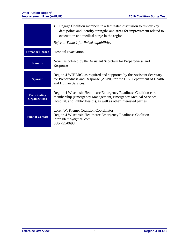#### **After-Action Report/ Improvement Plan (AAR/IP) 2019 Coalition Surge Test**

|                                              | Engage Coalition members in a facilitated discussion to review key<br>data points and identify strengths and areas for improvement related to<br>evacuation and medical surge in the region             |  |
|----------------------------------------------|---------------------------------------------------------------------------------------------------------------------------------------------------------------------------------------------------------|--|
|                                              | Refer to Table 1 for linked capabilities                                                                                                                                                                |  |
| <b>Threat or Hazard</b>                      | <b>Hospital Evacuation</b>                                                                                                                                                                              |  |
| <b>Scenario</b>                              | None, as defined by the Assistant Secretary for Preparedness and<br>Response                                                                                                                            |  |
| <b>Sponsor</b>                               | Region 4 WIHERC, as required and supported by the Assistant Secretary<br>for Preparedness and Response (ASPR) for the U.S. Department of Health<br>and Human Services.                                  |  |
| <b>Participating</b><br><b>Organizations</b> | Region 4 Wisconsin Healthcare Emergency Readiness Coalition core<br>membership (Emergency Management, Emergency Medical Services,<br>Hospital, and Public Health), as well as other interested parties. |  |
| <b>Point of Contact</b>                      | Loren W. Klemp, Coalition Coordinator<br>Region 4 Wisconsin Healthcare Emergency Readiness Coalition<br>loren.klemp@gmail.com<br>608-751-0698                                                           |  |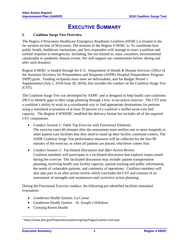# **EXECUTIVE SUMMARY**

#### **I. Coalition Surge Test Overview**

The Region 4 Wisconsin Healthcare Emergency Readiness Coalition (HERC) is located in the far western section of Wisconsin. The mission of the Region 4 HERC is: To coordinate how public health, healthcare institutions, and first responders will manage to enact a uniform and unified response to emergencies. Including, but not limited to, mass casualties, environmental catastrophe or pandemic disease events. We will support our communities before, during and after such disasters.

Region 4 HERC is funded through the U.S. Department of Health & Human Services, Office of the Assistant Secretary for Preparedness and Response (ASPR) Hospital Preparedness Program (HPP) grant. Funding recipients must meet set deliverables, and for Budget Period 1 Supplemental (July 1, 2018-June 30, 2019), this includes the conduct of the Coalition Surge Test (CST).

The Coalition Surge Test was developed by  $ASPR<sup>1</sup>$  and is designed to help health care coalitions (HCCs) identify gaps in their surge planning through a low- to no-notice exercise. The CST tests a coalition's ability to work in a coordinated way to find appropriate destinations for patients using a simulated evacuation of at least 20 percent of a coalition's staffed acute-care bed capacity. The Region 4 WIHERC modified the delivery format but includes all of the required CST components.

- *Conduct Session 1: Table Top Exercise with Functional Elements.* The exercise starts 60 minutes after the assessment team notifies one or more hospitals or other patient-care facilities that they need to stand up their facility command centers. The ASPR Coalition Surge Test performance measures will be collected for the first 90 minutes of the exercise, or when all patients are placed, whichever comes first.
- *Conduct Session 2: Facilitated Discussion and After-Action Review.* Coalition members will participate in a facilitated discussion that explores issues raised during the exercise. The facilitated discussion may include: patient transportation planning, receiving health care facility capacity, patient tracking and public information, the needs of vulnerable patients, and continuity of operations. Coalition members will also take part in an after-action review which concludes the CST and consists of an assessment of strengths and weaknesses and corrective action planning.

During the Functional Exercise conduct, the following pre-identified facilities simulated evacuation:

- Gundersen Health System- La Crosse
- Gundersen Health System St. Joseph's Hillsboro
- Crossing Rivers Health

 $\overline{a}$ 

<sup>1</sup> https://www.phe.gov/Preparedness/planning/hpp/Pages/coaltion-tool.aspx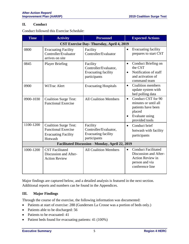### **II. Conduct**

Conduct followed this Exercise Schedule:

| <b>Time</b>                                            | <b>Activity</b>                                                                                     | <b>Personnel</b>                                                                | <b>Expected Actions</b>                                                                                                                  |  |  |  |
|--------------------------------------------------------|-----------------------------------------------------------------------------------------------------|---------------------------------------------------------------------------------|------------------------------------------------------------------------------------------------------------------------------------------|--|--|--|
| CST Exercise Day-Thursday, April 4, 2019               |                                                                                                     |                                                                                 |                                                                                                                                          |  |  |  |
| 0800                                                   | <b>Evacuating Facility</b><br>Controller/Evaluator<br>arrives on site                               | Facility<br>Controller/Evaluator                                                | Evacuating facility<br>$\bullet$<br>prepares to start CST                                                                                |  |  |  |
| 0845                                                   | <b>Player Briefing</b>                                                                              | Facility<br>Controller/Evaluator,<br><b>Evacuating facility</b><br>participants | Conduct Briefing on<br>$\bullet$<br>the CST<br>Notification of staff<br>٠<br>and activation of<br>command team                           |  |  |  |
| 0900                                                   | WiTrac Alert                                                                                        | <b>Evacuating Hospitals</b>                                                     | <b>Coalition members</b><br>$\bullet$<br>update system with<br>bed polling data                                                          |  |  |  |
| 0900-1030                                              | <b>Coalition Surge Test:</b><br><b>Functional Exercise</b>                                          | <b>All Coalition Members</b>                                                    | Conduct CST for 90<br>$\bullet$<br>minutes or until all<br>patients have been<br>placed<br>Evaluate using<br>$\bullet$<br>provided tools |  |  |  |
| 1100-1200                                              | <b>Coalition Surge Test:</b><br><b>Functional Exercise</b><br><b>Evacuating Facility</b><br>Hotwash | Facility<br>Controller/Evaluator,<br><b>Evacuating facility</b><br>participants | Conduct brief<br>$\bullet$<br>hotwash with facility<br>participants                                                                      |  |  |  |
| <b>Facilitated Discussion - Monday, April 22, 2019</b> |                                                                                                     |                                                                                 |                                                                                                                                          |  |  |  |
| 1000-1200                                              | <b>CST</b> Facilitated<br>Discussion and After-<br><b>Action Review</b>                             | <b>All Coalition Members</b>                                                    | <b>Conduct Facilitated</b><br>$\bullet$<br>Discussion and After-<br>Action Review in<br>person and via<br>conference line                |  |  |  |

Major findings are captured below, and a detailed analysis is featured in the next section. Additional reports and numbers can be found in the Appendices.

### **III. Major Findings**

Through the course of the exercise, the following information was documented:

- Patients at start of exercise: 288 (Gundersen La Crosse was a portion of beds only.)
- Patients able to be discharged: 56
- Patients to be evacuated: 41
- Patient beds found for evacuating patients: 41 (100%)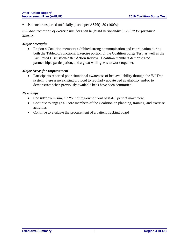• Patients transported (officially placed per ASPR): 39 (100%)

*Full documentation of exercise numbers can be found in Appendix C: ASPR Performance Metrics.*

## *Major Strengths*

• Region 4 Coalition members exhibited strong communication and coordination during both the Tabletop/Functional Exercise portion of the Coalition Surge Test, as well as the Facilitated Discussion/After Action Review. Coalition members demonstrated partnerships, participation, and a great willingness to work together.

### *Major Areas for Improvement*

• Participants reported poor situational awareness of bed availability through the WI Trac system; there is no existing protocol to regularly update bed availability and/or to demonstrate when previously available beds have been committed.

### *Next Steps*

- Consider exercising the "out of region" or "out of state" patient movement
- Continue to engage all core members of the Coalition on planning, training, and exercise activities
- Continue to evaluate the procurement of a patient tracking board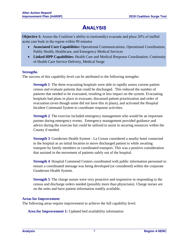# **ANALYSIS**

**Objective 1:** Assess the Coalition's ability to (notionally) evacuate and place 20% of staffed acute care beds in the region within 90 minutes

- **Associated Core Capabilities:** Operational Communications, Operational Coordination, Public Health, Healthcare, and Emergency Medical Services
- **Linked HPP Capabilities:** Health Care and Medical Response Coordination: Continuity of Health Care Service Delivery, Medical Surge

### **Strengths**

The success of this capability level can be attributed to the following strengths:

**Strength 1***:* The three evacuating hospitals were able to rapidly assess current patient census and evaluate patients that could be discharged. This reduced the number of patients that needed to be evacuated, resulting in less impact on the system. Evacuating hospitals had plans in place to evacuate, discussed patient prioritization and order of evacuation (even though some did not have this in plans), and activated the Hospital Incident Command System to coordinate response activities.

**Strength 2***:* The exercise included emergency management who would be an important partner during emergency events. Emergency management provided guidance and advice during the exercise but could be utilized to assist in securing resources within the County if needed.

**Strength 3***:* Gundersen Health System - La Crosse considered a nearby hotel connected to the hospital as an initial location to move discharged patient to while awaiting transport by family members or coordinated transport. This was a positive consideration that assisted in the movement of patients safely out of the hospital.

**Strength 4***:* Hospital Commend Centers coordinated with public information personnel to ensure a coordinated message was being developed (or considered) within the corporate Gundersen Health System.

**Strength 5***:* The charge nurses were very proactive and responsive in responding to the census and discharge orders needed (possibly more than physicians). Charge nurses are on the units and have patient information readily available.

#### **Areas for Improvement**

The following areas require improvement to achieve the full capability level:

**Area for Improvement 1:** Updated bed availability information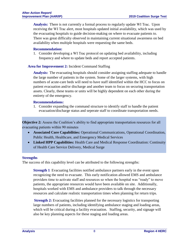**Analysis:**There is not currently a formal process to regularly update WI Trac. Upon receiving the WI Trac alert, most hospitals updated initial availability, which was used by the evacuating hospitals to guide decision-making on where to evacuate patients to. There was great difficulty observed in maintaining current situational awareness on bed availability when multiple hospitals were requesting the same beds.

#### **Recommendation:**

1. Consider developing a WI Trac protocol on updating bed availability, including frequency and where to update beds and report accepted patients.

#### **Area for Improvement 2:** Incident Command Staffing

**Analysis:**The evacuating hospitals should consider assigning staffing adequate to handle the large number of patients in the system. Some of the larger systems, with high numbers of acute-care beds will need to have staff identified within the HCC to focus on patient evacuation and/or discharge and another team to focus on securing transportation assets. Clearly, these teams or units will be highly dependent on each other during the entirety of the emergency.

#### **Recommendations:**

1. Consider expanding the command structure to identify staff to handle the patient evacuation/discharge status and seperate staff to coordinate transportation needs.

**Objective 2:** Assess the Coalition's ability to find appropriate transportation resources for all evacuating patients within 90 minutes

- **Associated Core Capabilities:** Operational Communications, Operational Coordination, Public Health, Healthcare, and Emergency Medical Services
- **Linked HPP Capabilities:** Health Care and Medical Response Coordination: Continuity of Health Care Service Delivery, Medical Surge

#### **Strengths**

The success of this capability level can be attributed to the following strengths:

**Strength 1***:* Evacuating facilities notified ambulance partners early in the event upon recognizing the need to evacuate. This early notification allowed EMS and ambulance providers time to activate staff and resources so when the hospital was "ready" to move patients, the appropriate resources would have been available on site. Additionally, hospitals worked with EMS and ambulance providers to talk through the necessary resources and calculate realistic transportation times when planning for return trips.

**Strength 2:** Evacuating facilities planned for the necessary logistics for transporting large numbers of patients, including identifying ambulance staging and loading areas, which will be critical during a facility evacuation. Staffing, security, and signage will also be key planning aspects for these staging and loading areas.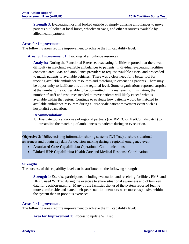**Strength 3:** Evacuating hospital looked outside of simply utilizing ambulances to move patients but looked at local buses, wheelchair vans, and other resources available by allied health partners.

#### **Areas for Improvement**

The following areas require improvement to achieve the full capability level:

**Area for Improvement 1:** Tracking of ambulance resources

**Analysis:**During the Functional Exercise, evacuating facilities reported that there was difficulty in matching available ambulances to patients. Individual evacuating facilities contacted area EMS and ambulance providers to request available assets, and proceeded to match patients to available vehicles. There was a clear need for a better tool for tracking available ambulance resources and matching to evacuating patients. There may be opportunity to facilitate this at the regional level. Some organizations reported surprise at the number of resources able to be committed. In a real event of this nature, the number of staff and resources needed to move patients will likely exceed what is available within the region. Continue to evaluate how patients would be matched to available ambulance resources during a large-scale patient movement event such as hospital(s) evacuation.

#### **Recommendation:**

1. Evaluate tools and/or use of regional partners (i.e. RMCC or MedCom dispatch) to streamline the matching of ambulances to patients during an evacuation.

**Objective 3:** Utilize existing information sharing systems (WI Trac) to share situational awareness and obtain key data for decision-making during a regional emergency event

- **Associated Core Capabilities:** Operational Communications
- **Linked HPP Capabilities:** Health Care and Medical Response Coordination

#### **Strengths**

The success of this capability level can be attributed to the following strengths:

**Strength 1***:* Exercise participants including evacuation and receiving facilities, EMS, and HERC used WI Trac during the exercise to share situational awareness and obtain key data for decision-making. Many of the facilities that used the system reported feeling more comfortable and stated their peer coalition members were more responsive within the system than in previous exercises.

#### **Areas for Improvement**

The following areas require improvement to achieve the full capability level:

**Area for Improvement 1:** Process to update WI Trac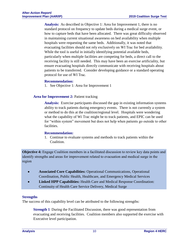**Analysis:**As described in Objective 1: Area for Improvement 1, there is no standard protocol on frequency to update beds during a medical surge event, or how to capture beds that have been allocated. There was great difficulty observed in maintaining current situational awareness on bed availability when multiple hospitals were requesting the same beds. Additionally, it was noted that evacuating facilities should not rely exclusively on WI Trac for bed availability. While the tool is useful in initially identifying potential available beds, particularly when multiple facilities are competing for beds, a direct call to the receiving facility is still needed. This may have been an exercise artificiality, but ensure evacuating hospitals directly communicate with receiving hospitals about patients to be transferred. Consider developing guidance or a standard operating protocol for use of WI Trac.

#### **Recommendation:**

1. See Objective 1: Area for Improvement 1

#### Area for Improvement 2: Patient tracking

**Analysis:** Exercise participants discussed the gap in existing information systems ability to track patients during emergency events. There is not currently a system or method to do this at the coalition/regional level. Hospitals were wondering what the capability of Wi Trac might be to track patients, and EPIC can be used for "within system" movement but does not help when patients go outside to other facilities.

#### **Recommendation:**

1. Continue to evaluate systems and methods to track patients within the Coalition.

**Objective 4:** Engage Coalition members in a facilitated discussion to review key data points and identify strengths and areas for improvement related to evacuation and medical surge in the region

- **Associated Core Capabilities:** Operational Communications, Operational Coordination, Public Health, Healthcare, and Emergency Medical Services
- **Linked HPP Capabilities:** Health Care and Medical Response Coordination: Continuity of Health Care Service Delivery, Medical Surge

#### **Strengths**

The success of this capability level can be attributed to the following strengths:

**Strength 1***:* During the Facilitated Discussion, there was good representation from evacuating and receiving facilities. Coalition members also supported the exercise with Executive level participation.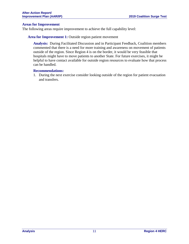#### **Areas for Improvement**

The following areas require improvement to achieve the full capability level:

#### **Area for Improvement 1:** Outside region patient movement

**Analysis:** During Facilitated Discussion and in Participant Feedback, Coalition members commented that there is a need for more training and awareness on movement of patients outside of the region. Since Region 4 is on the border, it would be very feasible that hospitals might have to move patients to another State. For future exercises, it might be helpful to have contact available for outside region resources to evaluate how that process can be handled.

#### **Recommendations:**

1. During the next exercise consider looking outside of the region for patient evacuation and transfers.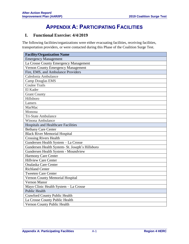# **APPENDIX A: PARTICIPATING FACILITIES**

# **I. Functional Exercise: 4/4/2019**

The following facilities/organizations were either evacuating facilities, receiving facilities, transportation providers, or were contacted during this Phase of the Coalition Surge Test.

| <b>Facility/Organization Name</b>               |  |  |  |
|-------------------------------------------------|--|--|--|
| <b>Emergency Management</b>                     |  |  |  |
| La Crosse County Emergency Management           |  |  |  |
| <b>Vernon County Emergency Management</b>       |  |  |  |
| Fire, EMS, and Ambulance Providers              |  |  |  |
| Caledonia Ambulance                             |  |  |  |
| <b>Camp Douglas EMS</b>                         |  |  |  |
| <b>Coulee Trails</b>                            |  |  |  |
| El Kader                                        |  |  |  |
| <b>Grant County</b>                             |  |  |  |
| Hillsboro                                       |  |  |  |
| Lamers                                          |  |  |  |
| MarMac                                          |  |  |  |
| Monona                                          |  |  |  |
| <b>Tri-State Ambulance</b>                      |  |  |  |
| <b>Winona Ambulance</b>                         |  |  |  |
| <b>Hospitals and Healthcare Facilities</b>      |  |  |  |
| <b>Bethany Care Center</b>                      |  |  |  |
| <b>Black River Memorial Hospital</b>            |  |  |  |
| <b>Crossing Rivers Health</b>                   |  |  |  |
| Gundersen Health System - La Crosse             |  |  |  |
| Gundersen Health System- St. Joseph's Hillsboro |  |  |  |
| Gundersen Health System - Moundview             |  |  |  |
| <b>Harmony Care Center</b>                      |  |  |  |
| <b>Hillview Care Center</b>                     |  |  |  |
| <b>Onalaska Care Center</b>                     |  |  |  |
| <b>Richland Center</b>                          |  |  |  |
| <b>Tweeten Care Center</b>                      |  |  |  |
| Vernon County Memorial Hospital                 |  |  |  |
| Vernon Manor                                    |  |  |  |
| Mayo Clinic Health System - La Crosse           |  |  |  |
| <b>Public Health</b>                            |  |  |  |
| <b>Crawford County Public Health</b>            |  |  |  |
| La Crosse County Public Health                  |  |  |  |
| Vernon County Public Health                     |  |  |  |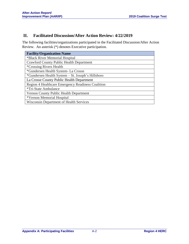# **II. Facilitated Discussion/After Action Review: 4/22/2019**

The following facilities/organizations participated in the Facilitated Discussion/After Action Review. An asterisk (\*) denotes Executive participation.

| <b>Facility/Organization Name</b>                 |  |  |
|---------------------------------------------------|--|--|
| *Black River Memorial Hospital                    |  |  |
| Crawford County Public Health Department          |  |  |
| <i>*Crossing Rivers Health</i>                    |  |  |
| *Gundersen Health System - La Crosse              |  |  |
| *Gundersen Health System – St. Joseph's Hillsboro |  |  |
| La Crosse County Public Health Department         |  |  |
| Region 4 Healthcare Emergency Readiness Coalition |  |  |
| <i><b>*Tri-State Ambulance</b></i>                |  |  |
| Vernon County Public Health Department            |  |  |
| *Vernon Memorial Hospital                         |  |  |
| <b>Wisconsin Department of Health Services</b>    |  |  |